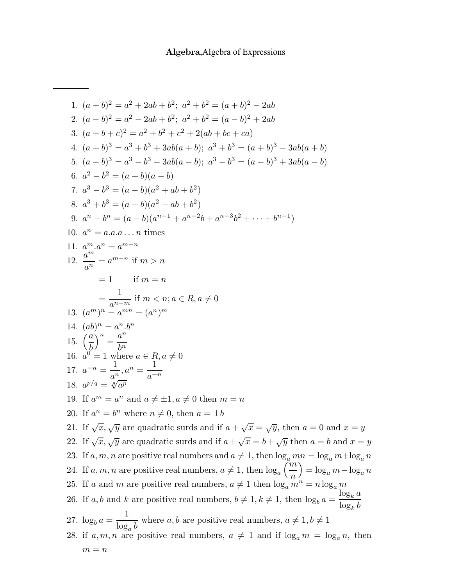1.  $(a+b)^2 = a^2 + 2ab + b^2$ ;  $a^2 + b^2 = (a+b)^2 - 2ab$ 2.  $(a-b)^2 = a^2 - 2ab + b^2$ ;  $a^2 + b^2 = (a-b)^2 + 2ab$ 3.  $(a+b+c)^2 = a^2 + b^2 + c^2 + 2(ab+bc+ca)$ 4.  $(a + b)^3 = a^3 + b^3 + 3ab(a + b)$ ;  $a^3 + b^3 = (a + b)^3 - 3ab(a + b)$ 5.  $(a-b)^3 = a^3 - b^3 - 3ab(a-b)$ ;  $a^3 - b^3 = (a-b)^3 + 3ab(a-b)$ 6.  $a^2-b^2=(a+b)(a-b)$ 7.  $a^3-b^3=(a-b)(a^2+ab+b^2)$ 8.  $a^3 + b^3 = (a+b)(a^2 - ab + b^2)$ 9.  $a^n - b^n = (a - b)(a^{n-1} + a^{n-2}b + a^{n-3}b^2 + \cdots + b^{n-1})$ 10.  $a^n = a.a.a...n$  times 11.  $a^m \tcdot a^n = a^{m+n}$ 12.  $\frac{a^m}{a^n} = a^{m-n}$  if  $m > n$  $= 1$  if  $m = n$ =  $\frac{1}{a^{n-m}}$  if  $m < n; a \in R, a \neq 0$ <br>13.  $(a^m)^n = a^{mn} = (a^n)^m$ 14.  $(ab)^n = a^n.b^n$ 15.  $\left(\frac{a}{b}\right)^n = \frac{a^n}{bn}$ 16.  $a^0 = 1$  where  $a \in R$ ,  $a \neq 0$ <br>17.  $a^{-n} = \frac{1}{a^n}$ ,  $a^n = \frac{1}{a^{-n}}$ 18.  $a^{p/q} = \sqrt[q]{a^p}$ 19. If  $a^m = a^n$  and  $a \neq \pm 1, a \neq 0$  then  $m = n$ 20. If  $a^n = b^n$  where  $n \neq 0$ , then  $a = \pm b$ 21. If  $\sqrt{x}$ ,  $\sqrt{y}$  are quadratic surds and if  $a + \sqrt{x} = \sqrt{y}$ , then  $a = 0$  and  $x = y$ 22. If  $\sqrt{x}$ ,  $\sqrt{y}$  are quadratic surds and if  $a + \sqrt{x} = b + \sqrt{y}$  then  $a = b$  and  $x = y$ 23. If a, m, n are positive real numbers and  $a \neq 1$ , then  $\log_a mn = \log_a m + \log_a n$ 24. If a, m, n are positive real numbers,  $a \neq 1$ , then  $\log_a \left( \frac{m}{n} \right) = \log_a m - \log_a n$ 25. If a and m are positive real numbers,  $a \neq 1$  then  $\log_a m^n = n \log_a m$ 26. If a, b and k are positive real numbers,  $b \neq 1, k \neq 1$ , then  $\log_b a = \frac{\log_k a}{\log_k b}$ 27.  $\log_b a = \frac{1}{\log b}$  where a, b are positive real numbers,  $a \neq 1, b \neq 1$ 28. if  $a, m, n$  are positive real numbers,  $a \neq 1$  and if  $\log_a m = \log_a n$ , then  $m = n$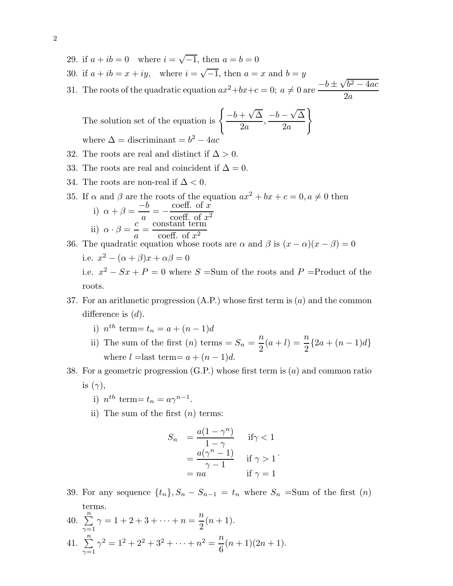- 29. if  $a + ib = 0$  where  $i = \sqrt{-1}$ , then  $a = b = 0$
- 30. if  $a + ib = x + iy$ , where  $i = \sqrt{-1}$ , then  $a = x$  and  $b = y$
- 30. If  $a + i b = x + i y$ , where  $i = \sqrt{-1}$ , then  $a = x$  and  $b = y$ <br>31. The roots of the quadratic equation  $ax^2 + bx + c = 0$ ;  $a \neq 0$  are  $\frac{-b \pm \sqrt{b^2 4ac}}{2}$  $2a$

The solution set of the equation is  $\left\{\frac{-b+\sqrt{\Delta}}{2a},\right\}$  $-b - \sqrt{\Delta}$  $2a$  $\mathcal{L}$ where  $\Delta =$  discriminant =  $b^2 - 4ac$ 

- 32. The roots are real and distinct if  $\Delta > 0$ .
- 33. The roots are real and coincident if  $\Delta = 0$ .
- 34. The roots are non-real if  $\Delta < 0$ .
- 35. If  $\alpha$  and  $\beta$  are the roots of the equation  $ax^2 + bx + c = 0, a \neq 0$  then i)  $\alpha + \beta = \frac{-b}{a} = -\frac{\text{coeff. of } x}{\text{coeff. of } x^2}$ ii)  $\alpha \cdot \beta = \frac{c}{a} = \frac{\text{constant term}}{\text{coeff. of } x^2}$ 36. The quadratic equation whose roots are  $\alpha$  and  $\beta$  is  $(x - \alpha)(x - \beta) = 0$ 
	- i.e.  $x^2 (\alpha + \beta)x + \alpha\beta = 0$ i.e.  $x^2 - Sx + P = 0$  where  $S = Sum$  of the roots and  $P = Product$  of the roots.
- 37. For an arithmetic progression  $(A.P.)$  whose first term is  $(a)$  and the common difference is  $(d)$ .
	- i)  $n^{th}$  term =  $t_n = a + (n-1)d$
	- ii) The sum of the first (n) terms =  $S_n = \frac{n}{2}(a+l) = \frac{n}{2}{2a + (n-1)d}$ where  $l =$ last term=  $a + (n - 1)d$ .
- 38. For a geometric progression  $(G.P.)$  whose first term is  $(a)$  and common ratio is  $(\gamma)$ ,
	- i)  $n^{th}$  term=  $t_n = a\gamma^{n-1}$ .
	- ii) The sum of the first  $(n)$  terms:

$$
S_n = \frac{a(1 - \gamma^n)}{1 - \gamma} \quad \text{if } \gamma < 1
$$

$$
= \frac{a(\gamma^n - 1)}{\gamma - 1} \quad \text{if } \gamma > 1
$$

$$
= na \quad \text{if } \gamma = 1
$$

- 39. For any sequence  $\{t_n\}$ ,  $S_n S_{n-1} = t_n$  where  $S_n = \text{Sum of the first } (n)$ terms.
- 40.  $\sum_{1}^{n}$  $\gamma=1$  $\gamma = 1 + 2 + 3 + \cdots + n = \frac{n}{2}(n+1).$ 41.  $\sum_{1}^{n}$  $\gamma=1$  $\gamma^2 = 1^2 + 2^2 + 3^2 + \cdots + n^2 = \frac{n}{6}$ 6  $(n+1)(2n+1).$